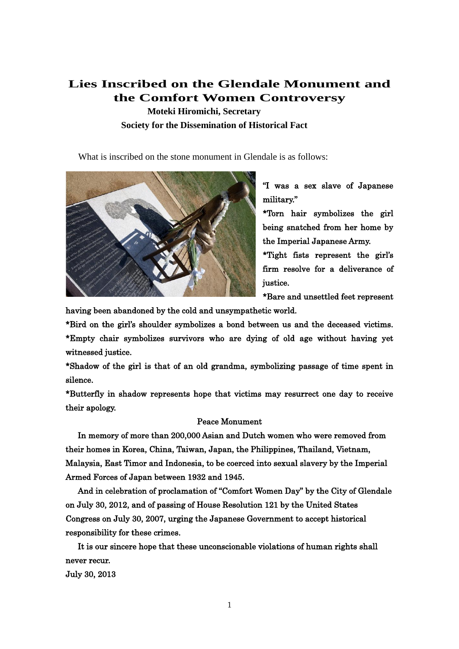# **Lies Inscribed on the Glendale Monument and the Comfort Women Controversy**

 **Moteki Hiromichi, Secretary Society for the Dissemination of Historical Fact**

What is inscribed on the stone monument in Glendale is as follows:



"I was a sex slave of Japanese military."

\*Torn hair symbolizes the girl being snatched from her home by the Imperial Japanese Army.

\*Tight fists represent the girl's firm resolve for a deliverance of justice.

\*Bare and unsettled feet represent

having been abandoned by the cold and unsympathetic world.

\*Bird on the girl's shoulder symbolizes a bond between us and the deceased victims. \*Empty chair symbolizes survivors who are dying of old age without having yet witnessed justice.

\*Shadow of the girl is that of an old grandma, symbolizing passage of time spent in silence.

\*Butterfly in shadow represents hope that victims may resurrect one day to receive their apology.

## Peace Monument

In memory of more than 200,000 Asian and Dutch women who were removed from their homes in Korea, China, Taiwan, Japan, the Philippines, Thailand, Vietnam, Malaysia, East Timor and Indonesia, to be coerced into sexual slavery by the Imperial Armed Forces of Japan between 1932 and 1945.

And in celebration of proclamation of "Comfort Women Day" by the City of Glendale on July 30, 2012, and of passing of House Resolution 121 by the United States Congress on July 30, 2007, urging the Japanese Government to accept historical responsibility for these crimes.

It is our sincere hope that these unconscionable violations of human rights shall never recur.

July 30, 2013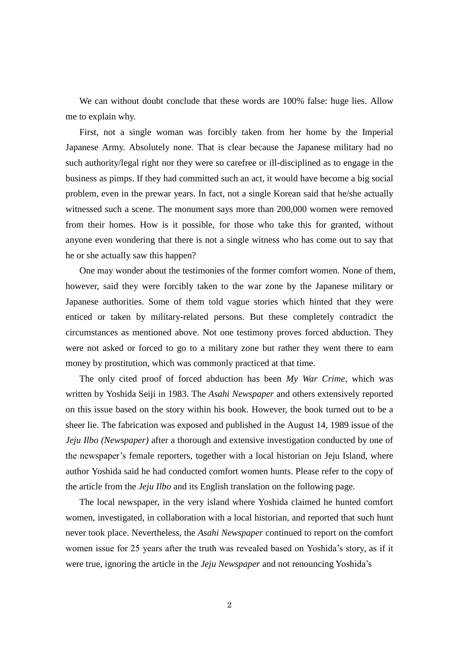We can without doubt conclude that these words are 100% false: huge lies. Allow me to explain why.

 First, not a single woman was forcibly taken from her home by the Imperial Japanese Army. Absolutely none. That is clear because the Japanese military had no such authority/legal right nor they were so carefree or ill-disciplined as to engage in the business as pimps. If they had committed such an act, it would have become a big social problem, even in the prewar years. In fact, not a single Korean said that he/she actually witnessed such a scene. The monument says more than 200,000 women were removed from their homes. How is it possible, for those who take this for granted, without anyone even wondering that there is not a single witness who has come out to say that he or she actually saw this happen?

 One may wonder about the testimonies of the former comfort women. None of them, however, said they were forcibly taken to the war zone by the Japanese military or Japanese authorities. Some of them told vague stories which hinted that they were enticed or taken by military-related persons. But these completely contradict the circumstances as mentioned above. Not one testimony proves forced abduction. They were not asked or forced to go to a military zone but rather they went there to earn money by prostitution, which was commonly practiced at that time.

 The only cited proof of forced abduction has been *My War Crime*, which was written by Yoshida Seiji in 1983. The *Asahi Newspaper* and others extensively reported on this issue based on the story within his book. However, the book turned out to be a sheer lie. The fabrication was exposed and published in the August 14, 1989 issue of the *Jeju Ilbo (Newspaper)* after a thorough and extensive investigation conducted by one of the newspaper's female reporters, together with a local historian on Jeju Island, where author Yoshida said he had conducted comfort women hunts. Please refer to the copy of the article from the *Jeju Ilbo* and its English translation on the following page.

 The local newspaper, in the very island where Yoshida claimed he hunted comfort women, investigated, in collaboration with a local historian, and reported that such hunt never took place. Nevertheless, the *Asahi Newspaper* continued to report on the comfort women issue for 25 years after the truth was revealed based on Yoshida's story, as if it were true, ignoring the article in the *Jeju Newspaper* and not renouncing Yoshida's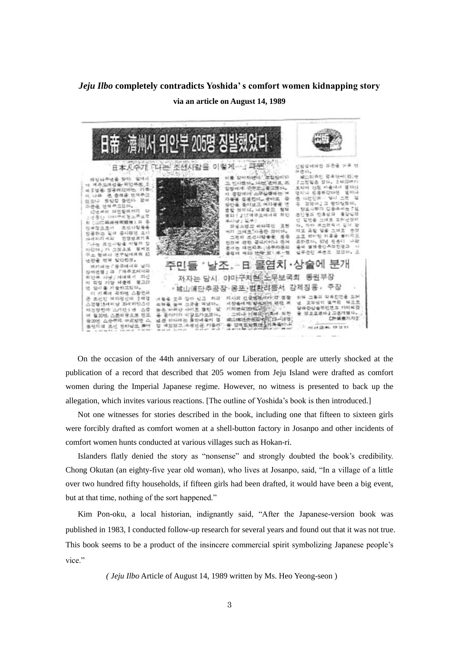## *Jeju Ilbo* **completely contradicts Yoshida' s comfort women kidnapping story**

### **via an article on August 14, 1989**



 On the occasion of the 44th anniversary of our Liberation, people are utterly shocked at the publication of a record that described that 205 women from Jeju Island were drafted as comfort women during the Imperial Japanese regime. However, no witness is presented to back up the allegation, which invites various reactions. [The outline of Yoshida's book is then introduced.]

 Not one witnesses for stories described in the book, including one that fifteen to sixteen girls were forcibly drafted as comfort women at a shell-button factory in Josanpo and other incidents of comfort women hunts conducted at various villages such as Hokan-ri.

 Islanders flatly denied the story as "nonsense" and strongly doubted the book's credibility. Chong Okutan (an eighty-five year old woman), who lives at Josanpo, said, "In a village of a little over two hundred fifty households, if fifteen girls had been drafted, it would have been a big event, but at that time, nothing of the sort happened."

 Kim Pon-oku, a local historian, indignantly said, "After the Japanese-version book was published in 1983, I conducted follow-up research for several years and found out that it was not true. This book seems to be a product of the insincere commercial spirit symbolizing Japanese people's vice."

*( Jeju Ilbo* Article of August 14, 1989 written by Ms. Heo Yeong-seon )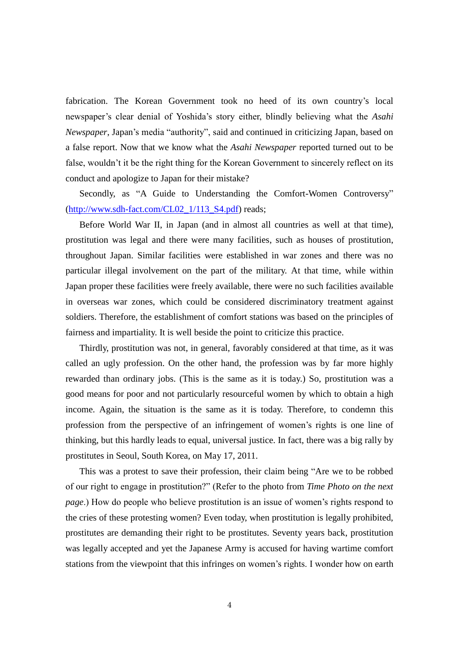fabrication. The Korean Government took no heed of its own country's local newspaper's clear denial of Yoshida's story either, blindly believing what the *Asahi Newspaper*, Japan's media "authority", said and continued in criticizing Japan, based on a false report. Now that we know what the *Asahi Newspaper* reported turned out to be false, wouldn't it be the right thing for the Korean Government to sincerely reflect on its conduct and apologize to Japan for their mistake?

 Secondly, as "A Guide to Understanding the Comfort-Women Controversy" [\(http://www.sdh-fact.com/CL02\\_1/113\\_S4.pdf\)](http://www.sdh-fact.com/CL02_1/113_S4.pdf) reads;

Before World War II, in Japan (and in almost all countries as well at that time), prostitution was legal and there were many facilities, such as houses of prostitution, throughout Japan. Similar facilities were established in war zones and there was no particular illegal involvement on the part of the military. At that time, while within Japan proper these facilities were freely available, there were no such facilities available in overseas war zones, which could be considered discriminatory treatment against soldiers. Therefore, the establishment of comfort stations was based on the principles of fairness and impartiality. It is well beside the point to criticize this practice.

 Thirdly, prostitution was not, in general, favorably considered at that time, as it was called an ugly profession. On the other hand, the profession was by far more highly rewarded than ordinary jobs. (This is the same as it is today.) So, prostitution was a good means for poor and not particularly resourceful women by which to obtain a high income. Again, the situation is the same as it is today. Therefore, to condemn this profession from the perspective of an infringement of women's rights is one line of thinking, but this hardly leads to equal, universal justice. In fact, there was a big rally by prostitutes in Seoul, South Korea, on May 17, 2011.

This was a protest to save their profession, their claim being "Are we to be robbed of our right to engage in prostitution?" (Refer to the photo from *Time Photo on the next page*.) How do people who believe prostitution is an issue of women's rights respond to the cries of these protesting women? Even today, when prostitution is legally prohibited, prostitutes are demanding their right to be prostitutes. Seventy years back, prostitution was legally accepted and yet the Japanese Army is accused for having wartime comfort stations from the viewpoint that this infringes on women's rights. I wonder how on earth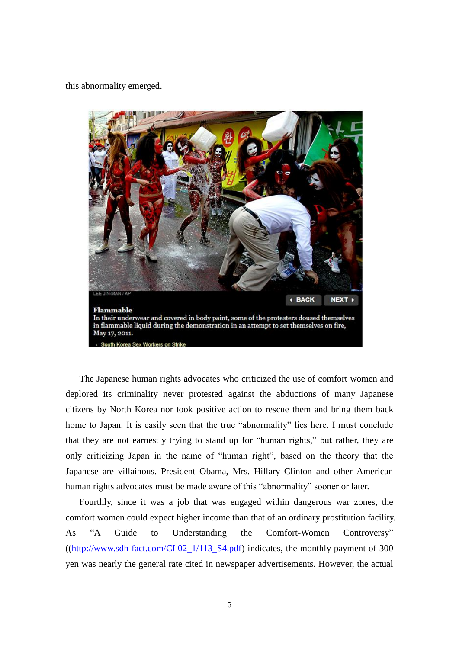this abnormality emerged.



 The Japanese human rights advocates who criticized the use of comfort women and deplored its criminality never protested against the abductions of many Japanese citizens by North Korea nor took positive action to rescue them and bring them back home to Japan. It is easily seen that the true "abnormality" lies here. I must conclude that they are not earnestly trying to stand up for "human rights," but rather, they are only criticizing Japan in the name of "human right", based on the theory that the Japanese are villainous. President Obama, Mrs. Hillary Clinton and other American human rights advocates must be made aware of this "abnormality" sooner or later.

 Fourthly, since it was a job that was engaged within dangerous war zones, the comfort women could expect higher income than that of an ordinary prostitution facility. As "A Guide to Understanding the Comfort-Women Controversy" ([\(http://www.sdh-fact.com/CL02\\_1/113\\_S4.pdf\)](http://www.sdh-fact.com/CL02_1/113_S4.pdf) indicates, the monthly payment of 300 yen was nearly the general rate cited in newspaper advertisements. However, the actual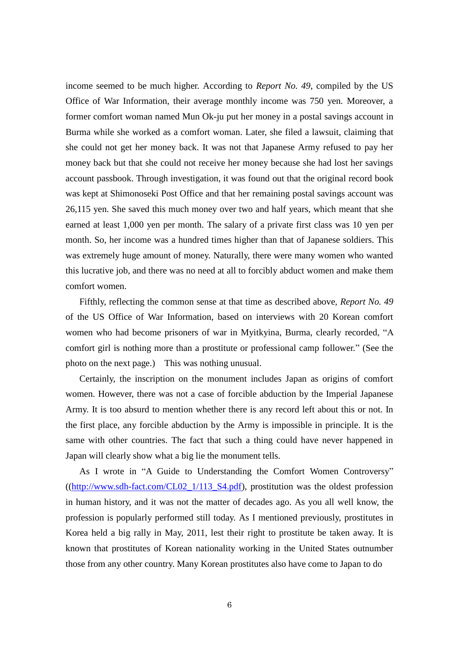income seemed to be much higher. According to *Report No. 49*, compiled by the US Office of War Information, their average monthly income was 750 yen. Moreover, a former comfort woman named Mun Ok-ju put her money in a postal savings account in Burma while she worked as a comfort woman. Later, she filed a lawsuit, claiming that she could not get her money back. It was not that Japanese Army refused to pay her money back but that she could not receive her money because she had lost her savings account passbook. Through investigation, it was found out that the original record book was kept at Shimonoseki Post Office and that her remaining postal savings account was 26,115 yen. She saved this much money over two and half years, which meant that she earned at least 1,000 yen per month. The salary of a private first class was 10 yen per month. So, her income was a hundred times higher than that of Japanese soldiers. This was extremely huge amount of money. Naturally, there were many women who wanted this lucrative job, and there was no need at all to forcibly abduct women and make them comfort women.

 Fifthly, reflecting the common sense at that time as described above, *Report No. 49*  of the US Office of War Information, based on interviews with 20 Korean comfort women who had become prisoners of war in Myitkyina, Burma, clearly recorded, "A comfort girl is nothing more than a prostitute or professional camp follower." (See the photo on the next page.) This was nothing unusual.

 Certainly, the inscription on the monument includes Japan as origins of comfort women. However, there was not a case of forcible abduction by the Imperial Japanese Army. It is too absurd to mention whether there is any record left about this or not. In the first place, any forcible abduction by the Army is impossible in principle. It is the same with other countries. The fact that such a thing could have never happened in Japan will clearly show what a big lie the monument tells.

As I wrote in "A Guide to Understanding the Comfort Women Controversy"  $(\frac{(\text{http://www.sdh-fact.com/CL02}1/113S4.pdf)}{\text{Set}}$ , prostitution was the oldest profession in human history, and it was not the matter of decades ago. As you all well know, the profession is popularly performed still today. As I mentioned previously, prostitutes in Korea held a big rally in May, 2011, lest their right to prostitute be taken away. It is known that prostitutes of Korean nationality working in the United States outnumber those from any other country. Many Korean prostitutes also have come to Japan to do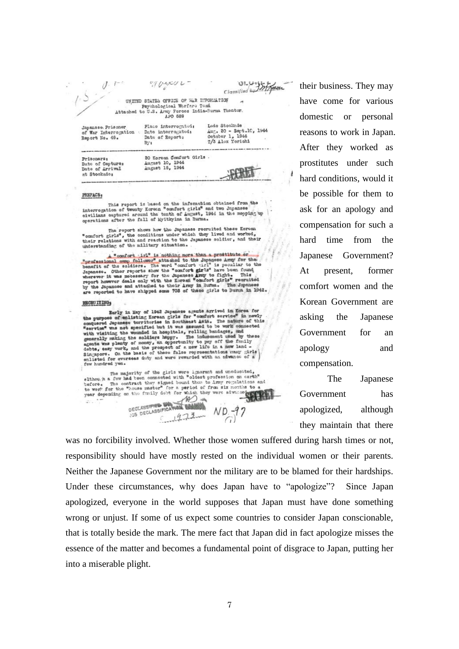|                                                              |                                                                                                                                       | Classified by 11                                                                |  |
|--------------------------------------------------------------|---------------------------------------------------------------------------------------------------------------------------------------|---------------------------------------------------------------------------------|--|
|                                                              | UNITED STATES OFFICE OF WAR INFORMATION<br>Psychological Warfare Test<br>Attached to U.S. Army Forces India-Burma Theater.<br>APO 689 |                                                                                 |  |
| Japanese, Prisoner<br>of War Interrogation<br>Report No. 49. | Place interrogatud:<br>Date interrogated:<br>Date of Report:<br>By:                                                                   | Lodo Stocknde<br>Aug. 20 - Sept.10, 1944<br>October 1, 1944<br>T/3 Alox Yorichi |  |
| Prisoners:<br>Date of Capture:<br>Date of Arrival            | 20 Korean Comfort Girls .<br>August 10, 1944<br>August 15, 1944                                                                       | .555                                                                            |  |

#### PREFACE:

at Stockados

This report is based on the information obtained from the<br>interrogation of twenty Korean "comfort girls" and two Japanese<br>civilians saptured around the tenth of August, 1944 in the mopping up<br>operations after the fall of M

The report shows how the Japanese recruited these Korean<br>"comfort girls", the conditions under which they lived and worked,<br>their relations with and reaction to the Japanese soldier, and their<br>there at the will term at the understanding of the military situation.

interstanting of the minite is nothing more than a prostitute or<br>"professional comp follows" attacked to the Japanese Army for the<br>benefit of the soldiers. The word "comfort wirl" is posuilar to the<br>Japanese. Other reports

#### RECRUITING,

REGRUITING:<br>
Early in May of 1942 Japanese agents arrived in Korea for<br>
the purpose of enlisting Korean girls for "comfort sorvice" in newly<br>
conquered Japanese territories in Southeast Asia. The nature of this<br>
"service"

The majority of the girls were ignorent and unducated,<br>
thou, h a few had been connected with "oldest profession on carth"<br>
to fore. The contract they signed bound then to Amy regulations and<br>
to worf for the "house master

their business. They may have come for various domestic or personal reasons to work in Japan. After they worked as prostitutes under such hard conditions, would it be possible for them to ask for an apology and compensation for such a hard time from the Japanese Government? At present, former comfort women and the Korean Government are asking the Japanese Government for an apology and compensation.

The Japanese Government has apologized, although they maintain that there

was no forcibility involved. Whether those women suffered during harsh times or not, responsibility should have mostly rested on the individual women or their parents. Neither the Japanese Government nor the military are to be blamed for their hardships. Under these circumstances, why does Japan have to "apologize"? Since Japan apologized, everyone in the world supposes that Japan must have done something wrong or unjust. If some of us expect some countries to consider Japan conscionable, that is totally beside the mark. The mere fact that Japan did in fact apologize misses the essence of the matter and becomes a fundamental point of disgrace to Japan, putting her into a miserable plight.